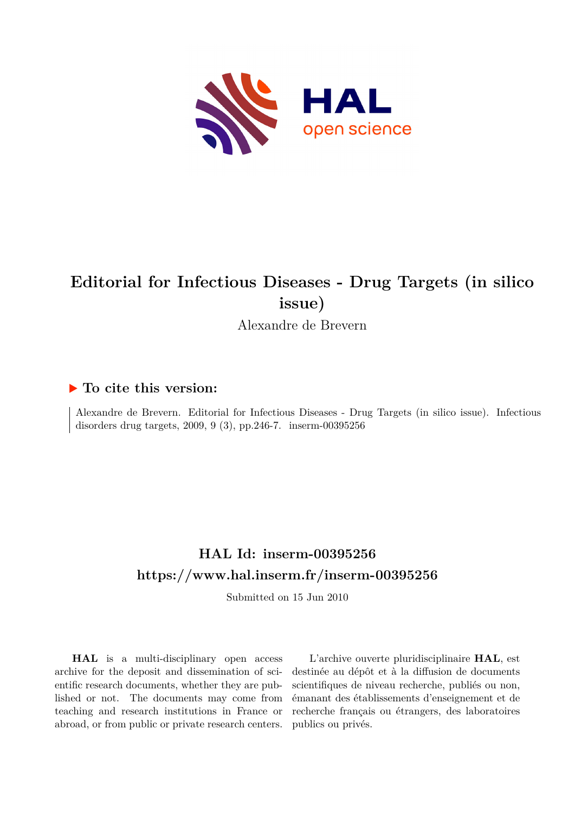

## **Editorial for Infectious Diseases - Drug Targets (in silico issue)**

Alexandre de Brevern

## **To cite this version:**

Alexandre de Brevern. Editorial for Infectious Diseases - Drug Targets (in silico issue). Infectious disorders drug targets,  $2009, 9(3)$ , pp. 246-7. inserm-00395256

## **HAL Id: inserm-00395256 <https://www.hal.inserm.fr/inserm-00395256>**

Submitted on 15 Jun 2010

**HAL** is a multi-disciplinary open access archive for the deposit and dissemination of scientific research documents, whether they are published or not. The documents may come from teaching and research institutions in France or abroad, or from public or private research centers.

L'archive ouverte pluridisciplinaire **HAL**, est destinée au dépôt et à la diffusion de documents scientifiques de niveau recherche, publiés ou non, émanant des établissements d'enseignement et de recherche français ou étrangers, des laboratoires publics ou privés.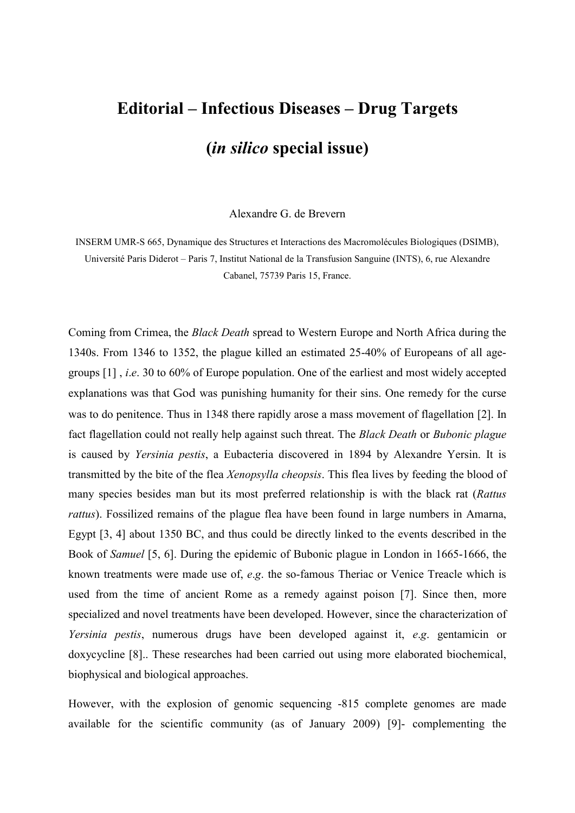## **Editorial – Infectious Diseases – Drug Targets (***in silico* **special issue)**

Alexandre G. de Brevern

INSERM UMR-S 665, Dynamique des Structures et Interactions des Macromolécules Biologiques (DSIMB), Université Paris Diderot – Paris 7, Institut National de la Transfusion Sanguine (INTS), 6, rue Alexandre Cabanel, 75739 Paris 15, France.

Coming from Crimea, the *Black Death* spread to Western Europe and North Africa during the 1340s. From 1346 to 1352, the plague killed an estimated 25-40% of Europeans of all agegroups [1] , *i*.*e*. 30 to 60% of Europe population. One of the earliest and most widely accepted explanations was that God was punishing humanity for their sins. One remedy for the curse was to do penitence. Thus in 1348 there rapidly arose a mass movement of flagellation [2]. In fact flagellation could not really help against such threat. The *Black Death* or *Bubonic plague* is caused by *Yersinia pestis*, a Eubacteria discovered in 1894 by Alexandre Yersin. It is transmitted by the bite of the flea *Xenopsylla cheopsis*. This flea lives by feeding the blood of many species besides man but its most preferred relationship is with the black rat (*Rattus rattus*). Fossilized remains of the plague flea have been found in large numbers in Amarna, Egypt [3, 4] about 1350 BC, and thus could be directly linked to the events described in the Book of *Samuel* [5, 6]. During the epidemic of Bubonic plague in London in 1665-1666, the known treatments were made use of, *e*.*g*. the so-famous Theriac or Venice Treacle which is used from the time of ancient Rome as a remedy against poison [7]. Since then, more specialized and novel treatments have been developed. However, since the characterization of *Yersinia pestis*, numerous drugs have been developed against it, *e*.*g*. gentamicin or doxycycline [8].. These researches had been carried out using more elaborated biochemical, biophysical and biological approaches.

However, with the explosion of genomic sequencing -815 complete genomes are made available for the scientific community (as of January 2009) [9]- complementing the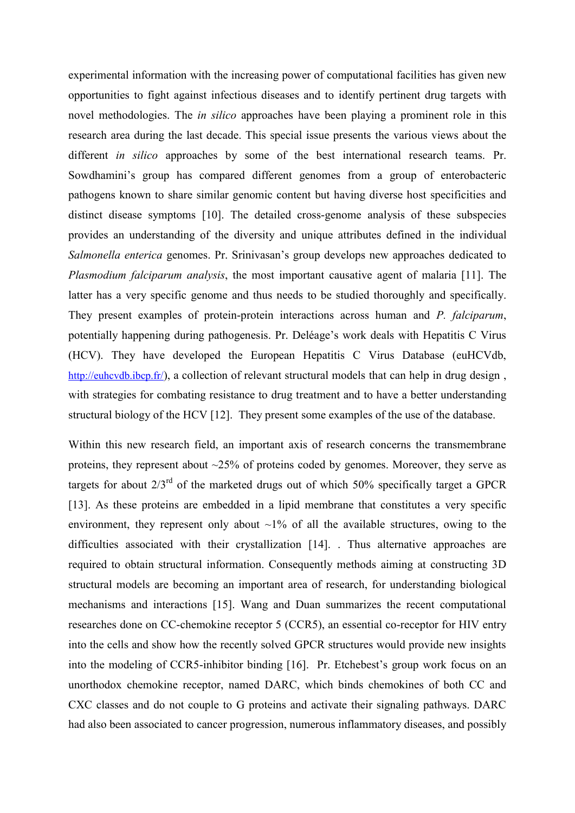experimental information with the increasing power of computational facilities has given new opportunities to fight against infectious diseases and to identify pertinent drug targets with novel methodologies. The *in silico* approaches have been playing a prominent role in this research area during the last decade. This special issue presents the various views about the different *in silico* approaches by some of the best international research teams. Pr. Sowdhamini's group has compared different genomes from a group of enterobacteric pathogens known to share similar genomic content but having diverse host specificities and distinct disease symptoms [10]. The detailed cross-genome analysis of these subspecies provides an understanding of the diversity and unique attributes defined in the individual *Salmonella enterica* genomes. Pr. Srinivasan's group develops new approaches dedicated to *Plasmodium falciparum analysis*, the most important causative agent of malaria [11]. The latter has a very specific genome and thus needs to be studied thoroughly and specifically. They present examples of protein-protein interactions across human and *P. falciparum*, potentially happening during pathogenesis. Pr. Deléage's work deals with Hepatitis C Virus (HCV). They have developed the European Hepatitis C Virus Database (euHCVdb, <http://euhcvdb.ibcp.fr/>), a collection of relevant structural models that can help in drug design, with strategies for combating resistance to drug treatment and to have a better understanding structural biology of the HCV [12]. They present some examples of the use of the database.

Within this new research field, an important axis of research concerns the transmembrane proteins, they represent about ~25% of proteins coded by genomes. Moreover, they serve as targets for about  $2/3<sup>rd</sup>$  of the marketed drugs out of which 50% specifically target a GPCR [13]. As these proteins are embedded in a lipid membrane that constitutes a very specific environment, they represent only about  $\sim$ 1% of all the available structures, owing to the difficulties associated with their crystallization [14]. . Thus alternative approaches are required to obtain structural information. Consequently methods aiming at constructing 3D structural models are becoming an important area of research, for understanding biological mechanisms and interactions [15]. Wang and Duan summarizes the recent computational researches done on CC-chemokine receptor 5 (CCR5), an essential co-receptor for HIV entry into the cells and show how the recently solved GPCR structures would provide new insights into the modeling of CCR5-inhibitor binding [16]. Pr. Etchebest's group work focus on an unorthodox chemokine receptor, named DARC, which binds chemokines of both CC and CXC classes and do not couple to G proteins and activate their signaling pathways. DARC had also been associated to cancer progression, numerous inflammatory diseases, and possibly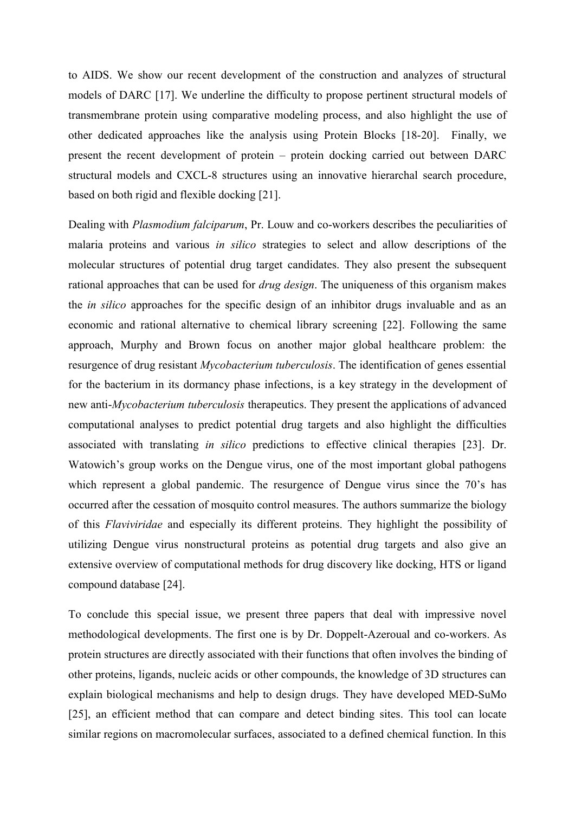to AIDS. We show our recent development of the construction and analyzes of structural models of DARC [17]. We underline the difficulty to propose pertinent structural models of transmembrane protein using comparative modeling process, and also highlight the use of other dedicated approaches like the analysis using Protein Blocks [18-20]. Finally, we present the recent development of protein – protein docking carried out between DARC structural models and CXCL-8 structures using an innovative hierarchal search procedure, based on both rigid and flexible docking [21].

Dealing with *Plasmodium falciparum*, Pr. Louw and co-workers describes the peculiarities of malaria proteins and various *in silico* strategies to select and allow descriptions of the molecular structures of potential drug target candidates. They also present the subsequent rational approaches that can be used for *drug design*. The uniqueness of this organism makes the *in silico* approaches for the specific design of an inhibitor drugs invaluable and as an economic and rational alternative to chemical library screening [22]. Following the same approach, Murphy and Brown focus on another major global healthcare problem: the resurgence of drug resistant *Mycobacterium tuberculosis*. The identification of genes essential for the bacterium in its dormancy phase infections, is a key strategy in the development of new anti-*Mycobacterium tuberculosis* therapeutics. They present the applications of advanced computational analyses to predict potential drug targets and also highlight the difficulties associated with translating *in silico* predictions to effective clinical therapies [23]. Dr. Watowich's group works on the Dengue virus, one of the most important global pathogens which represent a global pandemic. The resurgence of Dengue virus since the 70's has occurred after the cessation of mosquito control measures. The authors summarize the biology of this *Flaviviridae* and especially its different proteins. They highlight the possibility of utilizing Dengue virus nonstructural proteins as potential drug targets and also give an extensive overview of computational methods for drug discovery like docking, HTS or ligand compound database [24].

To conclude this special issue, we present three papers that deal with impressive novel methodological developments. The first one is by Dr. Doppelt-Azeroual and co-workers. As protein structures are directly associated with their functions that often involves the binding of other proteins, ligands, nucleic acids or other compounds, the knowledge of 3D structures can explain biological mechanisms and help to design drugs. They have developed MED-SuMo [25], an efficient method that can compare and detect binding sites. This tool can locate similar regions on macromolecular surfaces, associated to a defined chemical function. In this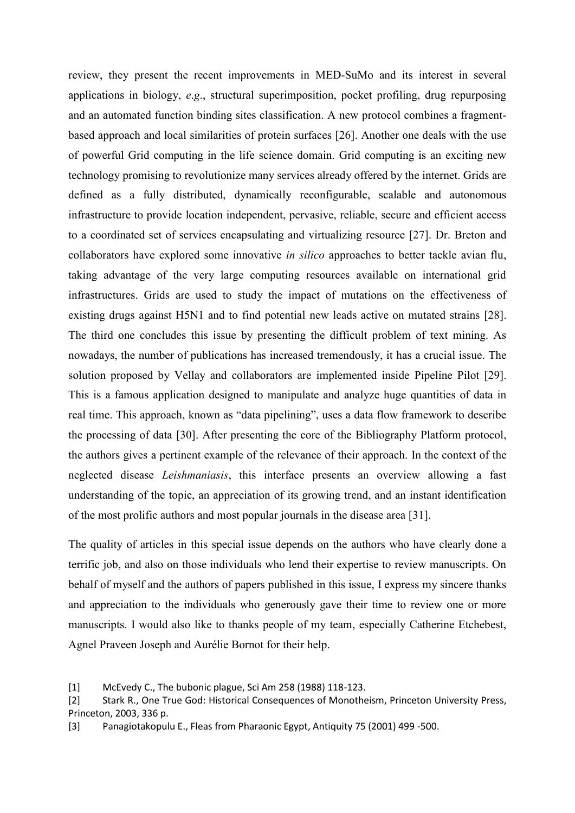review, they present the recent improvements in MED-SuMo and its interest in several applications in biology, *e*.*g*., structural superimposition, pocket profiling, drug repurposing and an automated function binding sites classification. A new protocol combines a fragmentbased approach and local similarities of protein surfaces [26]. Another one deals with the use of powerful Grid computing in the life science domain. Grid computing is an exciting new technology promising to revolutionize many services already offered by the internet. Grids are defined as a fully distributed, dynamically reconfigurable, scalable and autonomous infrastructure to provide location independent, pervasive, reliable, secure and efficient access to a coordinated set of services encapsulating and virtualizing resource [27]. Dr. Breton and collaborators have explored some innovative *in silico* approaches to better tackle avian flu, taking advantage of the very large computing resources available on international grid infrastructures. Grids are used to study the impact of mutations on the effectiveness of existing drugs against H5N1 and to find potential new leads active on mutated strains [28]. The third one concludes this issue by presenting the difficult problem of text mining. As nowadays, the number of publications has increased tremendously, it has a crucial issue. The solution proposed by Vellay and collaborators are implemented inside Pipeline Pilot [29]. This is a famous application designed to manipulate and analyze huge quantities of data in real time. This approach, known as "data pipelining", uses a data flow framework to describe the processing of data [30]. After presenting the core of the Bibliography Platform protocol, the authors gives a pertinent example of the relevance of their approach. In the context of the neglected disease *Leishmaniasis*, this interface presents an overview allowing a fast understanding of the topic, an appreciation of its growing trend, and an instant identification of the most prolific authors and most popular journals in the disease area [31].

The quality of articles in this special issue depends on the authors who have clearly done a terrific job, and also on those individuals who lend their expertise to review manuscripts. On behalf of myself and the authors of papers published in this issue, I express my sincere thanks and appreciation to the individuals who generously gave their time to review one or more manuscripts. I would also like to thanks people of my team, especially Catherine Etchebest, Agnel Praveen Joseph and Aurélie Bornot for their help.

<sup>[1]</sup> McEvedy C., The bubonic plague, Sci Am 258 (1988) 118-123.

<sup>[2]</sup> Stark R., One True God: Historical Consequences of Monotheism, Princeton University Press, Princeton, 2003, 336 p.

<sup>[3]</sup> Panagiotakopulu E., Fleas from Pharaonic Egypt, Antiquity 75 (2001) 499 -500.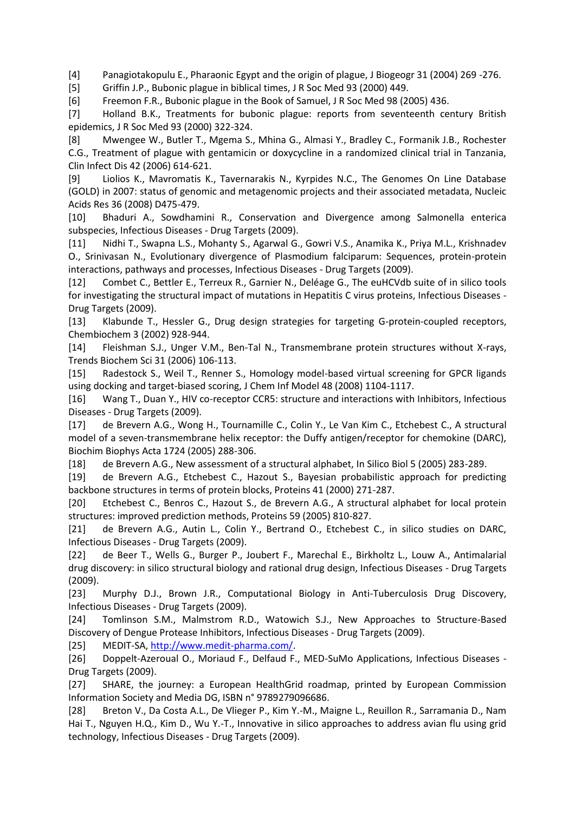[4] Panagiotakopulu E., Pharaonic Egypt and the origin of plague, J Biogeogr 31 (2004) 269 -276.

[5] Griffin J.P., Bubonic plague in biblical times, J R Soc Med 93 (2000) 449.

[6] Freemon F.R., Bubonic plague in the Book of Samuel, J R Soc Med 98 (2005) 436.

[7] Holland B.K., Treatments for bubonic plague: reports from seventeenth century British epidemics, J R Soc Med 93 (2000) 322-324.

[8] Mwengee W., Butler T., Mgema S., Mhina G., Almasi Y., Bradley C., Formanik J.B., Rochester C.G., Treatment of plague with gentamicin or doxycycline in a randomized clinical trial in Tanzania, Clin Infect Dis 42 (2006) 614-621.

[9] Liolios K., Mavromatis K., Tavernarakis N., Kyrpides N.C., The Genomes On Line Database (GOLD) in 2007: status of genomic and metagenomic projects and their associated metadata, Nucleic Acids Res 36 (2008) D475-479.

[10] Bhaduri A., Sowdhamini R., Conservation and Divergence among Salmonella enterica subspecies, Infectious Diseases - Drug Targets (2009).

[11] Nidhi T., Swapna L.S., Mohanty S., Agarwal G., Gowri V.S., Anamika K., Priya M.L., Krishnadev O., Srinivasan N., Evolutionary divergence of Plasmodium falciparum: Sequences, protein-protein interactions, pathways and processes, Infectious Diseases - Drug Targets (2009).

[12] Combet C., Bettler E., Terreux R., Garnier N., Deléage G., The euHCVdb suite of in silico tools for investigating the structural impact of mutations in Hepatitis C virus proteins, Infectious Diseases - Drug Targets (2009).

[13] Klabunde T., Hessler G., Drug design strategies for targeting G-protein-coupled receptors, Chembiochem 3 (2002) 928-944.

[14] Fleishman S.J., Unger V.M., Ben-Tal N., Transmembrane protein structures without X-rays, Trends Biochem Sci 31 (2006) 106-113.

[15] Radestock S., Weil T., Renner S., Homology model-based virtual screening for GPCR ligands using docking and target-biased scoring, J Chem Inf Model 48 (2008) 1104-1117.

[16] Wang T., Duan Y., HIV co-receptor CCR5: structure and interactions with Inhibitors, Infectious Diseases - Drug Targets (2009).

[17] de Brevern A.G., Wong H., Tournamille C., Colin Y., Le Van Kim C., Etchebest C., A structural model of a seven-transmembrane helix receptor: the Duffy antigen/receptor for chemokine (DARC), Biochim Biophys Acta 1724 (2005) 288-306.

[18] de Brevern A.G., New assessment of a structural alphabet, In Silico Biol 5 (2005) 283-289.

[19] de Brevern A.G., Etchebest C., Hazout S., Bayesian probabilistic approach for predicting backbone structures in terms of protein blocks, Proteins 41 (2000) 271-287.

[20] Etchebest C., Benros C., Hazout S., de Brevern A.G., A structural alphabet for local protein structures: improved prediction methods, Proteins 59 (2005) 810-827.

[21] de Brevern A.G., Autin L., Colin Y., Bertrand O., Etchebest C., in silico studies on DARC, Infectious Diseases - Drug Targets (2009).

[22] de Beer T., Wells G., Burger P., Joubert F., Marechal E., Birkholtz L., Louw A., Antimalarial drug discovery: in silico structural biology and rational drug design, Infectious Diseases - Drug Targets (2009).

[23] Murphy D.J., Brown J.R., Computational Biology in Anti-Tuberculosis Drug Discovery, Infectious Diseases - Drug Targets (2009).

[24] Tomlinson S.M., Malmstrom R.D., Watowich S.J., New Approaches to Structure-Based Discovery of Dengue Protease Inhibitors, Infectious Diseases - Drug Targets (2009).

[25] MEDIT-SA, [http://www.medit-pharma.com/.](http://www.medit-pharma.com/)

[26] Doppelt-Azeroual O., Moriaud F., Delfaud F., MED-SuMo Applications, Infectious Diseases - Drug Targets (2009).

[27] SHARE, the journey: a European HealthGrid roadmap, printed by European Commission Information Society and Media DG, ISBN n° 9789279096686.

[28] Breton V., Da Costa A.L., De Vlieger P., Kim Y.-M., Maigne L., Reuillon R., Sarramania D., Nam Hai T., Nguyen H.Q., Kim D., Wu Y.-T., Innovative in silico approaches to address avian flu using grid technology, Infectious Diseases - Drug Targets (2009).